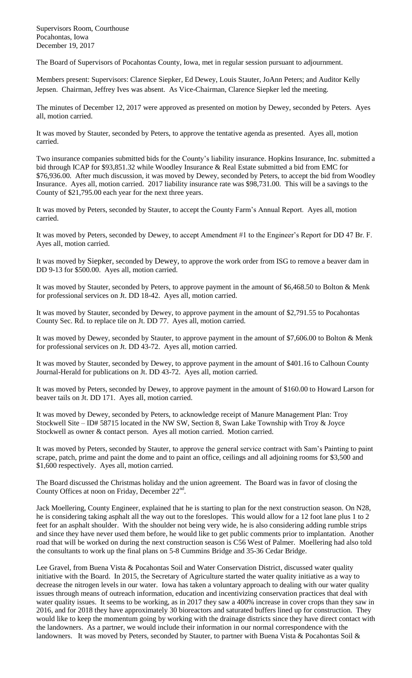Supervisors Room, Courthouse Pocahontas, Iowa December 19, 2017

The Board of Supervisors of Pocahontas County, Iowa, met in regular session pursuant to adjournment.

Members present: Supervisors: Clarence Siepker, Ed Dewey, Louis Stauter, JoAnn Peters; and Auditor Kelly Jepsen. Chairman, Jeffrey Ives was absent. As Vice-Chairman, Clarence Siepker led the meeting.

The minutes of December 12, 2017 were approved as presented on motion by Dewey, seconded by Peters. Ayes all, motion carried.

It was moved by Stauter, seconded by Peters, to approve the tentative agenda as presented. Ayes all, motion carried.

Two insurance companies submitted bids for the County's liability insurance. Hopkins Insurance, Inc. submitted a bid through ICAP for \$93,851.32 while Woodley Insurance & Real Estate submitted a bid from EMC for \$76,936.00. After much discussion, it was moved by Dewey, seconded by Peters, to accept the bid from Woodley Insurance. Ayes all, motion carried. 2017 liability insurance rate was \$98,731.00. This will be a savings to the County of \$21,795.00 each year for the next three years.

It was moved by Peters, seconded by Stauter, to accept the County Farm's Annual Report. Ayes all, motion carried.

It was moved by Peters, seconded by Dewey, to accept Amendment #1 to the Engineer's Report for DD 47 Br. F. Ayes all, motion carried.

It was moved by Siepker, seconded by Dewey, to approve the work order from ISG to remove a beaver dam in DD 9-13 for \$500.00. Ayes all, motion carried.

It was moved by Stauter, seconded by Peters, to approve payment in the amount of \$6,468.50 to Bolton & Menk for professional services on Jt. DD 18-42. Ayes all, motion carried.

It was moved by Stauter, seconded by Dewey, to approve payment in the amount of \$2,791.55 to Pocahontas County Sec. Rd. to replace tile on Jt. DD 77. Ayes all, motion carried.

It was moved by Dewey, seconded by Stauter, to approve payment in the amount of \$7,606.00 to Bolton & Menk for professional services on Jt. DD 43-72. Ayes all, motion carried.

It was moved by Stauter, seconded by Dewey, to approve payment in the amount of \$401.16 to Calhoun County Journal-Herald for publications on Jt. DD 43-72. Ayes all, motion carried.

It was moved by Peters, seconded by Dewey, to approve payment in the amount of \$160.00 to Howard Larson for beaver tails on Jt. DD 171. Ayes all, motion carried.

It was moved by Dewey, seconded by Peters, to acknowledge receipt of Manure Management Plan: Troy Stockwell Site – ID# 58715 located in the NW SW, Section 8, Swan Lake Township with Troy & Joyce Stockwell as owner & contact person. Ayes all motion carried. Motion carried.

It was moved by Peters, seconded by Stauter, to approve the general service contract with Sam's Painting to paint scrape, patch, prime and paint the dome and to paint an office, ceilings and all adjoining rooms for \$3,500 and \$1,600 respectively. Ayes all, motion carried.

The Board discussed the Christmas holiday and the union agreement. The Board was in favor of closing the County Offices at noon on Friday, December 22<sup>nd</sup>.

Jack Moellering, County Engineer, explained that he is starting to plan for the next construction season. On N28, he is considering taking asphalt all the way out to the foreslopes. This would allow for a 12 foot lane plus 1 to 2 feet for an asphalt shoulder. With the shoulder not being very wide, he is also considering adding rumble strips and since they have never used them before, he would like to get public comments prior to implantation. Another road that will be worked on during the next construction season is C56 West of Palmer. Moellering had also told the consultants to work up the final plans on 5-8 Cummins Bridge and 35-36 Cedar Bridge.

Lee Gravel, from Buena Vista & Pocahontas Soil and Water Conservation District, discussed water quality initiative with the Board. In 2015, the Secretary of Agriculture started the water quality initiative as a way to decrease the nitrogen levels in our water. Iowa has taken a voluntary approach to dealing with our water quality issues through means of outreach information, education and incentivizing conservation practices that deal with water quality issues. It seems to be working, as in 2017 they saw a 400% increase in cover crops than they saw in 2016, and for 2018 they have approximately 30 bioreactors and saturated buffers lined up for construction. They would like to keep the momentum going by working with the drainage districts since they have direct contact with the landowners. As a partner, we would include their information in our normal correspondence with the landowners. It was moved by Peters, seconded by Stauter, to partner with Buena Vista & Pocahontas Soil &